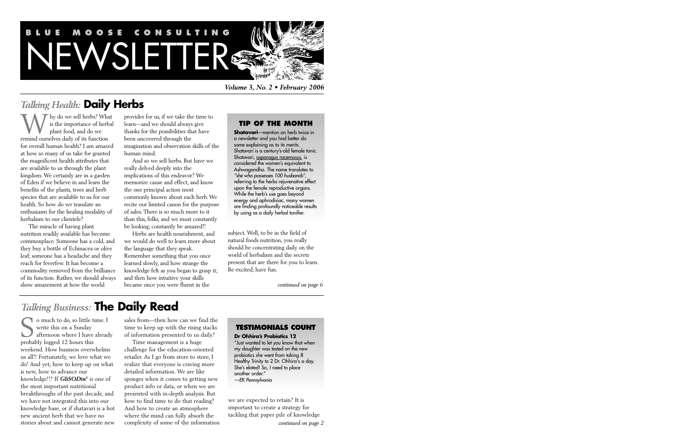# **BLUE MOOSE CONSULT** WSLETTER

*Volume 3, No. 2 • February 2006*

# *Talking Health:* **Daily Herbs**

Thy do we sell herbs? What is the importance of herbal plant food, and do we We sell herbs? Wh<br>is the importance of herb<br>plant food, and do we<br>remind ourselves daily of its function for overall human health? I am amazed at how so many of us take for granted the magnificent health attributes that are available to us through the plant kingdom. We certainly are in a garden of Eden if we believe in and learn the benefits of the plants, trees and herb species that are available to us for our health. So how do we translate an enthusiasm for the healing modality of herbalism to our clientele?

The miracle of having plant nutrition readily available has become commonplace. Someone has a cold, and they buy a bottle of Echinacea or olive leaf; someone has a headache and they reach for feverfew. It has become a commodity removed from the brilliance of its function. Rather, we should always show amazement at how the world

provides for us, if we take the time to learn—and we should always give thanks for the possibilities that have been uncovered through the imagination and observation skills of the human mind.

And so we sell herbs. But have we really delved deeply into the implications of this endeavor? We memorize cause and effect, and know the one principal action most commonly known about each herb. We recite our limited canon for the purpose of sales. There is so much more to it than this, folks, and we must constantly be looking; constantly be amazed!!

Herbs are health nourishment, and we would do well to learn more about the language that they speak. Remember something that you once learned slowly, and how strange the knowledge felt as you began to grasp it; and then how intuitive your skills became once you were fluent in the

## **TIP OF THE MONTH**

**Shatavari**—mention an herb twice in a newsletter and you had better do some explaining as to its merits. Shatavari is a century's-old female tonic. Shatavari, asparagus racemosus, is considered the women's equivalent to Ashwagandha. The name translates to "she who possesses 100 husbands", referring to the herbs rejuvenative effect upon the female reproductive organs. While the herb's use goes beyond energy and aphrodisiac, many women are finding profoundly noticeable results by using as a daily herbal tonifier.

subject. Well, to be in the field of natural foods nutrition, you really should be concentrating daily on the world of herbalism and the secrets present that are there for you to learn. Be excited; have fun.

*continued on page 6*

# *Talking Business:* **The Daily Read**

o much to do, so little time. I write this on a Sunday afternoon where I have already o much to do, so little t<br>
write this on a Sunday<br>
afternoon where I have<br>
probably logged 12 hours this weekend. How business overwhelms us all!! Fortunately, we love what we do! And yet, how to keep up on what is new, how to advance our knowledge!!? If *GliSODin*® is one of the most important nutritional breakthroughs of the past decade, and we have not integrated this into our knowledge base, or if shatavari is a hot new ancient herb that we have no stories about and cannot generate new

sales from—then how can we find the time to keep up with the rising stacks of information presented to us daily?

Time management is a huge challenge for the education-oriented retailer. As I go from store to store, I realize that everyone is craving more detailed information. We are like sponges when it comes to getting new product info or data, or when we are presented with in-depth analysis. But how to find time to do that reading? And how to create an atmosphere where the mind can fully absorb the complexity of some of the information

# **TESTIMONIALS COUNT**

#### **Dr Ohhira's Probiotics 12**

"Just wanted to let you know that when my daughter was tested on the new probiotics she went from taking 8 Healthy Trinity to 2 Dr. Ohhira's a day. She's elated! So, I need to place another order." —EK Pennsylvania

we are expected to retain? It is important to create a strategy for tackling that paper pile of knowledge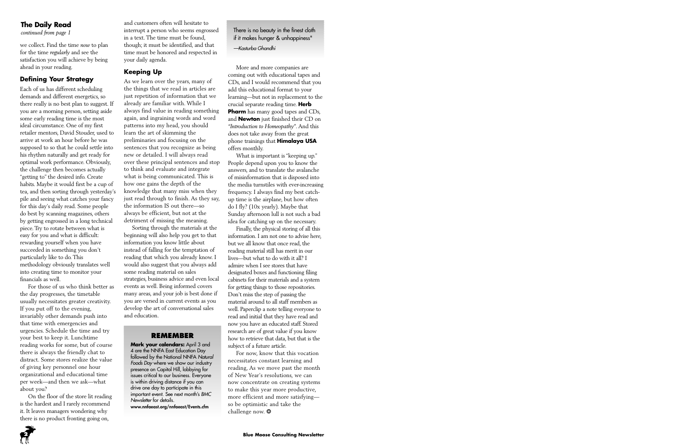# **The Daily Read**

we collect. Find the time *now* to plan for the time *regularly* and see the satisfaction you will achieve by being ahead in your reading.

# **Defining Your Strategy**

Each of us has different scheduling demands and different energetics, so there really is no best plan to suggest. If you are a morning person, setting aside some early reading time is the most ideal circumstance. One of my first retailer mentors, David Stouder, used to arrive at work an hour before he was supposed to so that he could settle into his rhythm naturally and get ready for optimal work performance. Obviously, the challenge then becomes actually "getting to" the desired info. Create habits. Maybe it would first be a cup of tea, and then sorting through yesterday's pile and seeing what catches your fancy for this day's daily read. Some people do best by scanning magazines, others by getting engrossed in a long technical piece. Try to rotate between what is easy for you and what is difficult: rewarding yourself when you have succeeded in something you don't particularly like to do. This methodology obviously translates well into creating time to monitor your financials as well.

For those of us who think better as the day progresses, the timetable usually necessitates greater creativity. If you put off to the evening, invariably other demands push into that time with emergencies and urgencies. Schedule the time and try your best to keep it. Lunchtime reading works for some, but of course there is always the friendly chat to distract. Some stores realize the value of giving key personnel one hour organizational and educational time per week—and then we ask—what about you?

On the floor of the store lit reading is the hardest and I rarely recommend it. It leaves managers wondering why there is no product fronting going on,

and customers often will hesitate to *continued from page 1* There is no beauty in the finest cloth in the finest cloth in a text. The time must be found, though; it must be identified, and that time must be honored and respected in your daily agenda.

## **Keeping Up**

As we learn over the years, many of the things that we read in articles are just repetition of information that we already are familiar with. While I always find value in reading something again, and ingraining words and word patterns into my head, you should learn the art of skimming the preliminaries and focusing on the sentences that you recognize as being new or detailed. I will always read over these principal sentences and stop to think and evaluate and integrate what is being communicated. This is how one gains the depth of the knowledge that many miss when they just read through to finish. As they say, the information IS out there—so always be efficient, but not at the detriment of missing the meaning.

Sorting through the materials at the beginning will also help you get to that information you know little about instead of falling for the temptation of reading that which you already know. I would also suggest that you always add some reading material on sales strategies, business advice and even local events as well. Being informed covers many areas, and your job is best done if you are versed in current events as you develop the art of conversational sales and education.

#### **REMEMBER**

**Mark your calendars:** April 3 and 4 are the NNFA East Education Day followed by the National NNFA Natural Foods Day where we show our industry presence on Capitol Hill, lobbying for issues critical to our business. Everyone is within driving distance if you can drive one day to participate in this important event. See next month's BMC Newsletter for details.

www.nnfaeast.org/nnfaeast/Events.cfm

if it makes hunger & unhappiness"

—Kasturba Ghandhi

More and more companies are coming out with educational tapes and CDs, and I would recommend that you add this educational format to your learning—but not in replacement to the crucial separate reading time. **Herb Pharm** has many good tapes and CDs, and **Newton** just finished their CD on *"Introduction to Homeopathy"*. And this does not take away from the great phone trainings that **Himalaya USA** offers monthly.

What is important is "keeping up." People depend upon you to know the answers, and to translate the avalanche of misinformation that is disposed into the media turnstiles with ever-increasing frequency. I always find my best catchup time is the airplane, but how often do I fly? (10x yearly). Maybe that Sunday afternoon lull is not such a bad idea for catching up on the necessary.

Finally, the physical storing of all this information. I am not one to advise here, but we all know that once read, the reading material still has merit in our lives—but what to do with it all? I admire when I see stores that have designated boxes and functioning filing cabinets for their materials and a system for getting things to those repositories. Don't miss the step of passing the material around to all staff members as well. Paperclip a note telling everyone to read and initial that they have read and now you have an educated staff. Stored research are of great value if you know how to retrieve that data, but that is the subject of a future article.

For now, know that this vocation necessitates constant learning and reading, As we move past the month of New Year's resolutions, we can now concentrate on creating systems to make this year more productive, more efficient and more satisfying so be optimistic and take the challenge now. \*

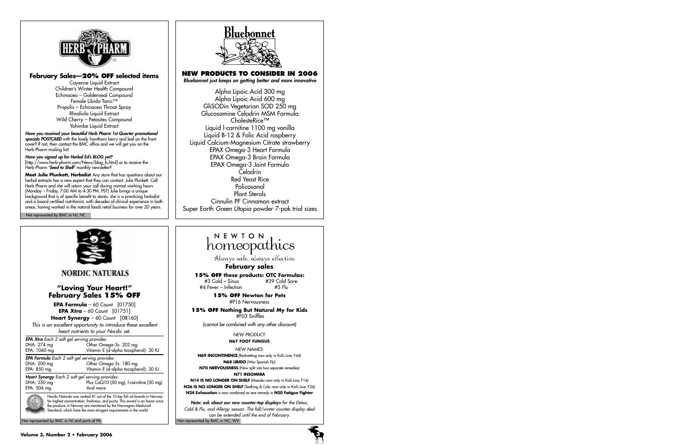

#### **February Sales—20% OFF selected items**

Cayenne Liquid Extract Children's Winter Health Compound Echinacea – Goldenseal Compound Female Libido Tonic™ Propolis – Echinacea Throat Spray Rhodiola Liquid Extract Wild Cherry – Petasites Compound Yohimbe Liquid Extract

Have you received your beautiful Herb Pharm 1st Quarter promotional specials POSTCARD with the lovely hawthorn berry and leaf on the front cover? If not, then contact the BMC office and we will get you on the Herb Pharm mailing list!

#### Have you signed up for Herbal Ed's BLOG yet?

[http://www.herb-pharm.com/News/blog\_fs.html] or to receive the Herb Pharm **'Seed to Shelf'** monthly newsletter?

**Meet Julie Plunkett, Herbalist** Any store that has questions about our herbal extracts has a new expert that they can contact: Julie Plunkett. Call Herb Pharm and she will return your call during normal working hours (Monday – Friday, 7:00 AM to 4:30 PM, PST) Julie brings a unique background that is of specific benefit to stores: she is a practicing herbalist and a board certified nutritionist, with decades of clinical experience in both areas, having worked in the natural foods retail business for over 20 years.

Not represented by BMC in NJ, NC



# **NEW PRODUCTS TO CONSIDER IN 2006**

Bluebonnet just keeps on getting better and more innovative

Alpha Lipoic Acid 300 mg Alpha Lipoic Acid 600 mg GliSODin Vegetarian SOD 250 mg Glucosamine Celadrin MSM Formula CholesteRice™ Liquid l-carnitine 1100 mg vanilla Liquid B-12 & Folic Acid raspberry Liquid Calcium-Magnesium Citrate strawberry EPAX Omega-3 Heart Formula EPAX Omega-3 Brain Formula EPAX Omega-3 Joint Formula Celadrin Red Yeast Rice Policosanol Plant Sterols Cinnulin PF Cinnamon extract Super Earth Green Utopia powder 7-pak trial sizes



# NEWTON homeopathics

Always safe, always effective.

#### **February sales**

# **15% OFF these products: OTC Formulas:**

% #3 Cold – Sinus #39 Cold =<br>1 Fever – Infection #5 Flu  $#A$  Fever – Infection

**15% OFF Newton for Pets** #P16 Nervousness

**15% OFF Nothing But Natural My for Kids** #F03 Sniffles

(cannot be combined with any other discount)

NEW PRODUCT: **N67 FOOT FUNGUS**

NEW NAMES: **N69 INCONTINENCE** (Bedwetting now only in Kid's Line, F44) **N68 LIBIDO** (Was Spanish Fly) **N70 NERVOUSNESS** (Now split into two separate remedies) **N71 INSOMNIA**

**N14 IS NO LONGER ON SHELF** (Measles now only in Kids Line, F14) **N26 IS NO LONGER ON SHELF** (Teething & Colic now only in Kid's Line, F26) **N24 Exhaustion** is now combined as one remedy in **N50 Fatigue Fighter**

Note: ask about our new counter-top displays for the Detox, Cold & Flu, and Allergy season. The fall/winter counter display deal can be extended until the end of February.

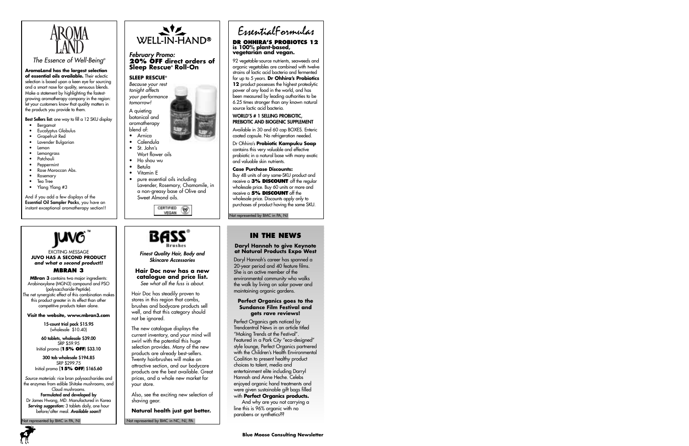

The Essence of Well-Being®

**AromaLand has the largest selection of essential oils available.** Their eclectic selection is based upon a keen eye for sourcing and a smart nose for quality, sensuous blends. Make a statement by highlighting the fastestgrowing aromatherapy company in the region: let your customers know that quality matters in the products you provide to them.

Best Sellers list: one way to fill a 12 SKU display

- Bergamot
- Eucalyptus Globulus
- Grapefruit Red
- Lavender Bulgarian
- Lemon
- **Lemonarass**
- **Patchouli**
- **Peppermint**
- Rose Moroccan Abs.
- Rosemary
- Tea Tree
- Ylang Ylang #3

And if you add a few displays of the Essential Oil Sampler Packs, you have an instant exceptional aromatherapy section!!



#### EXCITING MESSAGE **JUVO HAS A SECOND PRODUCT and what a second product!! MBRAN 3**

**MBran 3** contains two major ingredients: Arabinoxylane (MGN3) compound and PSO (polysaccharide-Peptide). The net synergistic effect of this combination makes this product greater in its effect than other competitive products taken alone.

#### **Visit the website, www.mbran3.com**

15-count trial pack \$15.95 (wholesale \$10.40)

60 tablets, wholesale \$39.00 SRP \$59.95 Initial promo (**15% OFF**) \$33.10

300 tab wholesale \$194.85 SRP \$299.75 Initial promo (**15% OFF**) \$165.60

Source materials: rice bran polysaccharides and the enzymes from edible Shitake mushrooms, and Cloud mushrooms.

Formulated and developed by Dr James Hwang, MD. Manufactured in Korea Serving suggestion: 3 tablets daily, one hour before/after meal. Available soon!!

ot represented by BMC in PA, NJ



a non-greasy base of Olive and Sweet Almond oils.





Finest Quality Hair, Body and Skincare Accessories

#### **Hair Doc now has a new catalogue and price list.** See what all the fuss is about.

Hair Doc has steadily proven to stores in this region that combs, brushes and bodycare products sell well, and that this category should not be ignored.

The new catalogue displays the current inventory, and your mind will swirl with the potential this huge selection provides. Many of the new products are already best-sellers. Twenty hairbrushes will make an attractive section, and our bodycare products are the best available. Great prices, and a whole new market for your store.

Also, see the exciting new selection of shaving gear.

**Natural health just got better.**

Not represented by BMC in NC, NJ, PA

EssentialFormulas

#### **DR OHHIRA'S PROBIOTCS 12 is 100% plant-based, vegetarian and vegan.**

92 vegetable-source nutrients, seaweeds and organic vegetables are combined with twelve strains of lactic acid bacteria and fermented for up to 5 years. **Dr Ohhira's Probiotics 12** product possesses the highest proteolytic power of any food in the world, and has been measured by leading authorities to be 6.25 times stronger than any known natural source lactic acid bacteria.

#### WORLD'S # 1 SELLING PROBIOTIC, PREBIOTIC AND BIOGENIC SUPPLEMENT

Available in 30 and 60 cap BOXES. Enteric coated capsule. No refrigeration needed.

Dr Ohhira's **Probiotic Kampuku Soap** contains this very valuable and effective probiotic in a natural base with many exotic and valuable skin nutrients.

#### **Case Purchase Discounts:**

Buy 48 units of any same-SKU product and receive a **3% DISCOUNT** off the regular wholesale price. Buy 60 units or more and receive a **5% DISCOUNT** off the wholesale price. Discounts apply only to purchases of product having the same SKU.

Not represented by BMC in PA, NJ

# **IN THE NEWS**

#### **Daryl Hannah to give Keynote at Natural Products Expo West**

Daryl Hannah's career has spanned a 20-year period and 40 feature films. She is an active member of the environmental community who walks the walk by living on solar power and maintaining organic gardens.

#### **Perfect Organics goes to the Sundance Film Festival and gets rave reviews!**

Perfect Organics gets noticed by Trendcentral News in an article titled "Making Trends at the Festival". Featured in a Park City "eco-designed" style lounge, Perfect Organics partnered with the Children's Health Environmental Coalition to present healthy product choices to talent, media and entertainment elite including Darryl Hannah and Anne Heche. Celebs enjoyed organic hand treatments and were given sustainable gift bags filled with **Perfect Organics products.**

And why are you not carrying a line this is 96% organic with no parabens or synthetics??

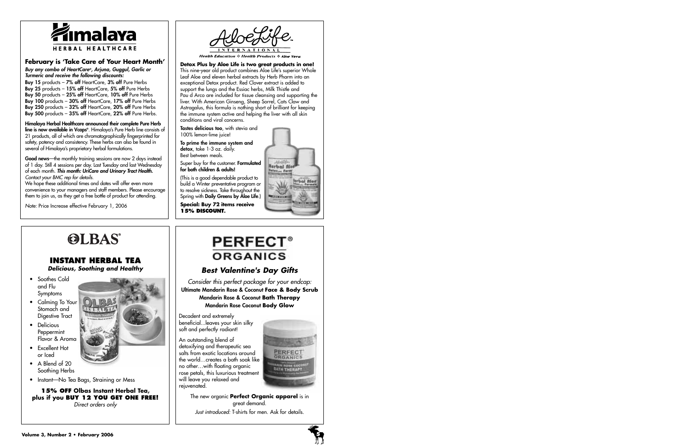

## **February is 'Take Care of Your Heart Month'**

Buy any combo of HeartCare®, Arjuna, Guggul, Garlic or Turmeric and receive the following discounts:

Buy 15 products - 7% off HeartCare, 3% off Pure Herbs Buy 25 products - 15% off HeartCare, 5% off Pure Herbs Buy 50 products - 25% off HeartCare, 10% off Pure Herbs Buy 100 products - 30% off HeartCare, 17% off Pure Herbs Buy 250 products - 32% off HeartCare, 20% off Pure Herbs Buy 500 products - 35% off HeartCare, 22% off Pure Herbs.

Himalaya Herbal Healthcare announced their complete Pure Herb **line is now available in Vcaps®**. Himalaya's Pure Herb line consists of 21 products, all of which are chromatographically fingerprinted for safety, potency and consistency. These herbs can also be found in several of Himalaya's proprietary herbal formulations.

Good news—the monthly training sessions are now 2 days instead of 1 day. Still 4 sessions per day. Last Tuesday and last Wednesday of each month. This month: UriCare and Urinary Tract Health. Contact your BMC rep for details.

We hope these additional times and dates will offer even more convenience to your managers and staff members. Please encourage them to join us, as they get a free bottle of product for attending.

Note: Price Increase effective February 1, 2006



**Health Education**  $\div$  **Health Products**  $\div$  **Aloe Vera** 

**Detox Plus by Aloe Life is two great products in one!** This nine-year old product combines Aloe Life's superior Whole Leaf Aloe and eleven herbal extracts by Herb Pharm into an exceptional Detox product. Red Clover extract is added to support the lungs and the Essiac herbs, Milk Thistle and Pau d Arco are included for tissue cleansing and supporting the liver. With American Ginseng, Sheep Sorrel, Cats Claw and Astragalus, this formula is nothing short of brilliant for keeping the immune system active and helping the liver with all skin conditions and viral concerns.

Tastes delicious too, with stevia and 100% lemon-lime juice!

To prime the immune system and detox, take 1-3 oz. daily. Best between meals.

Super buy for the customer. Formulated for both children & adults!

(This is a good dependable product to build a Winter preventative program or to resolve sickness. Take throughout the Spring with Daily Greens by Aloe Life.)

**Special: Buy 72 items receive 15% DISCOUNT.**



# **OLBAS**

# **INSTANT HERBAL TEA**

**Delicious, Soothing and Healthy**

- Soothes Cold and Flu Symptoms
- Calming To Your Stomach and Digestive Tract
- Delicious Peppermint Flavor & Aroma
- Excellent Hot or Iced
- A Blend of 20 Soothing Herbs
- Instant—No Tea Bags, Straining or Mess

**15% OFF Olbas Instant Herbal Tea, plus if you BUY 12 YOU GET ONE FREE!** Direct orders only

# **PERFECT® ORGANICS**

# **Best Valentine's Day Gifts**

Consider this perfect package for your endcap: Ultimate Mandarin Rose & Coconut **Face & Body Scrub** Mandarin Rose & Coconut **Bath Therapy** Mandarin Rose Coconut **Body Glow**

Decadent and extremely beneficial...leaves your skin silky soft and perfectly radiant!

An outstanding blend of detoxifying and therapeutic sea salts from exotic locations around the world…creates a bath soak like no other…with floating organic rose petals, this luxurious treatment will leave you relaxed and rejuvenated.



The new organic **Perfect Organic apparel** is in great demand. Just introduced: T-shirts for men. Ask for details.

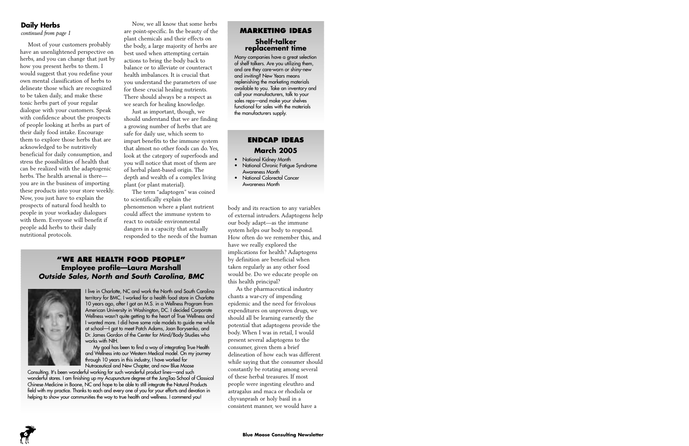# **Daily Herbs**

*continued from page 1*

Most of your customers probably have an unenlightened perspective on herbs, and you can change that just by how you present herbs to them. I would suggest that you redefine your own mental classification of herbs to delineate those which are recognized to be taken daily, and make these tonic herbs part of your regular dialogue with your customers. Speak with confidence about the prospects of people looking at herbs as part of their daily food intake. Encourage them to explore those herbs that are acknowledged to be nutritively beneficial for daily consumption, and stress the possibilities of health that can be realized with the adaptogenic herbs. The health arsenal is there you are in the business of importing these products into your store weekly. Now, you just have to explain the prospects of natural food health to people in your workaday dialogues with them. Everyone will benefit if people add herbs to their daily nutritional protocols.

Now, we all know that some herbs are point-specific. In the beauty of the plant chemicals and their effects on the body, a large majority of herbs are best used when attempting certain actions to bring the body back to balance or to alleviate or counteract health imbalances. It is crucial that you understand the parameters of use for these crucial healing nutrients. There should always be a respect as we search for healing knowledge.

Just as important, though, we should understand that we are finding a growing number of herbs that are safe for daily use, which seem to impart benefits to the immune system that almost no other foods can do. Yes, look at the category of superfoods and you will notice that most of them are of herbal plant-based origin. The depth and wealth of a complex living plant (or plant material).

The term "adaptogen" was coined to scientifically explain the phenomenon where a plant nutrient could affect the immune system to react to outside environmental dangers in a capacity that actually responded to the needs of the human

# **"WE ARE HEALTH FOOD PEOPLE" Employee profile—Laura Marshall Outside Sales, North and South Carolina, BMC**



I live in Charlotte, NC and work the North and South Carolina territory for BMC. I worked for a health food store in Charlotte 10 years ago, after I got an M.S. in a Wellness Program from American University in Washington, DC. I decided Corporate Wellness wasn't quite getting to the heart of True Wellness and I wanted more. I did have some role models to guide me while at school—I got to meet Patch Adams, Joan Borysenko, and Dr. James Gordon of the Center for Mind/Body Studies who works with NIH.

My goal has been to find a way of integrating True Health and Wellness into our Western Medical model. On my journey through 10 years in this industry, I have worked for Nutraceutical and New Chapter, and now Blue Moose

Consulting. It's been wonderful working for such wonderful product lines—and such wonderful stores. I am finishing up my Acupuncture degree at the JungTao School of Classical Chinese Medicine in Boone, NC and hope to be able to still integrate the Natural Products field with my practice. Thanks to each and every one of you for your efforts and devotion in helping to show your communities the way to true health and wellness. I commend you!

# **MARKETING IDEAS Shelf-talker replacement time**

Many companies have a great selection of shelf talkers. Are you utilizing them, and are they care-worn or shiny-new and inviting? New Years means replenishing the marketing materials available to you. Take an inventory and call your manufacturers, talk to your sales reps—and make your shelves functional for sales with the materials the manufacturers supply.

# **ENDCAP IDEAS March 2005**

- National Kidney Month
- National Chronic Fatigue Syndrome Awareness Month
- National Colorectal Cancer Awareness Month

body and its reaction to any variables of external intruders. Adaptogens help our body adapt—as the immune system helps our body to respond. How often do we remember this, and have we really explored the implications for health? Adaptogens by definition are beneficial when taken regularly as any other food would be. Do we educate people on this health principal?

As the pharmaceutical industry chants a war-cry of impending epidemic and the need for frivolous expenditures on unproven drugs, we should all be learning earnestly the potential that adaptogens provide the body. When I was in retail, I would present several adaptogens to the consumer, given them a brief delineation of how each was different while saying that the consumer should constantly be rotating among several of these herbal treasures. If most people were ingesting eleuthro and astragalus and maca or rhodiola or chyvanprash or holy basil in a consistent manner, we would have a

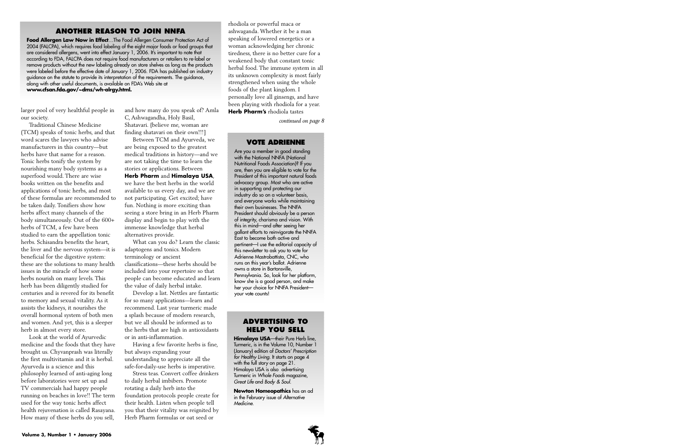# **ANOTHER REASON TO JOIN NNFA**

**Food Allergen Law Now in Effect**…The Food Allergen Consumer Protection Act of 2004 (FALCPA), which requires food labeling of the eight major foods or food groups that are considered allergens, went into effect January 1, 2006. It's important to note that according to FDA, FALCPA does not require food manufacturers or retailers to re-label or remove products without the new labeling already on store shelves as long as the products were labeled before the effective date of January 1, 2006. FDA has published an industry guidance on the statute to provide its interpretation of the requirements. The guidance, along with other useful documents, is available on FDA's Web site at **www.cfsan.fda.gov/~dms/wh-alrgy.html.**

larger pool of very healthful people in our society.

Traditional Chinese Medicine (TCM) speaks of tonic herbs, and that word scares the lawyers who advise manufacturers in this country—but herbs have that name for a reason. Tonic herbs tonify the system by nourishing many body systems as a superfood would. There are wise books written on the benefits and applications of tonic herbs, and most of these formulas are recommended to be taken daily. Tonifiers show how herbs affect many channels of the body simultaneously. Out of the 600+ herbs of TCM, a few have been studied to earn the appellation tonic herbs. Schisandra benefits the heart, the liver and the nervous system—it is beneficial for the digestive system: these are the solutions to many health issues in the miracle of how some herbs nourish on many levels. This herb has been diligently studied for centuries and is revered for its benefit to memory and sexual vitality. As it assists the kidneys, it nourishes the overall hormonal system of both men and women. And yet, this is a sleeper herb in almost every store.

Look at the world of Ayurvedic medicine and the foods that they have brought us. Chyvanprash was literally the first multivitamin and it is herbal. Ayurveda is a science and this philosophy learned of anti-aging long before laboratories were set up and TV commercials had happy people running on beaches in love!! The term used for the way tonic herbs affect health rejuvenation is called Rasayana. How many of these herbs do you sell,

and how many do you speak of? Amla C, Ashwagandha, Holy Basil, Shatavari. {believe me, woman are finding shatavari on their own!!!]

Between TCM and Ayurveda, we are being exposed to the greatest medical traditions in history—and we are not taking the time to learn the stories or applications. Between **Herb Pharm** and **Himalaya USA**, we have the best herbs in the world available to us every day, and we are not participating. Get excited; have fun. Nothing is more exciting than seeing a store bring in an Herb Pharm display and begin to play with the immense knowledge that herbal alternatives provide.

What can you do? Learn the classic adaptogens and tonics. Modern terminology or ancient classifications—these herbs should be included into your repertoire so that people can become educated and learn the value of daily herbal intake.

Develop a list. Nettles are fantastic for so many applications—learn and recommend. Last year turmeric made a splash because of modern research, but we all should be informed as to the herbs that are high in antioxidants or in anti-inflammation.

Having a few favorite herbs is fine, but always expanding your understanding to appreciate all the safe-for-daily-use herbs is imperative.

Stress teas. Convert coffee drinkers to daily herbal imbibers. Promote rotating a daily herb into the foundation protocols people create for their health. Listen when people tell you that their vitality was reignited by Herb Pharm formulas or oat seed or

rhodiola or powerful maca or ashwaganda. Whether it be a man speaking of lowered energetics or a woman acknowledging her chronic tiredness, there is no better cure for a weakened body that constant tonic herbal food. The immune system in all its unknown complexity is most fairly strengthened when using the whole foods of the plant kingdom. I personally love all ginsengs, and have been playing with rhodiola for a year. **Herb Pharm's** rhodiola tastes

*continued on page 8*

#### **VOTE ADRIENNE**

Are you a member in good standing with the National NNFA (National Nutritional Foods Association)? If you are, then you are eligible to vote for the President of this important natural foods advocacy group. Most who are active in supporting and protecting our industry do so on a volunteer basis, and everyone works while maintaining their own businesses. The NNFA President should obviously be a person of integrity, charisma and vision. With this in mind—and after seeing her gallant efforts to reinvigorate the NNFA East to become both active and pertinent—I use the editorial capacity of this newsletter to ask you to vote for Adrienne Mastrobattista, CNC, who runs on this year's ballot. Adrienne owns a store in Bartonsville, Pennsylvania. So, look for her platform, know she is a good person, and make her your choice for NNFA President your vote counts!

#### **ADVERTISING TO HELP YOU SELL**

**Himalaya USA**—their Pure Herb line, Turmeric, is in the Volume 10, Number 1 (January) edition of Doctors' Prescription for Healthy Living. It starts on page 4 with the full story on page 21. Himalaya USA is also advertising Turmeric in Whole Foods magazine, Great Life and Body & Soul.

**Newton Homeopathics** has an ad in the February issue of Alternative Medicine.